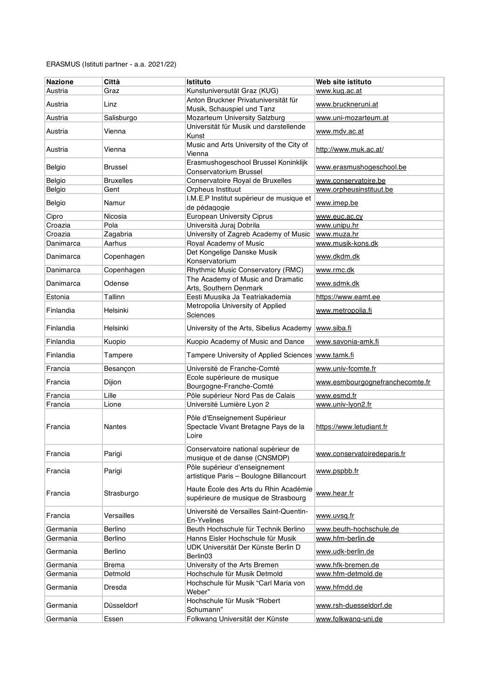| <b>Nazione</b> | Città            | <b>Istituto</b>                                                                | Web site istituto               |
|----------------|------------------|--------------------------------------------------------------------------------|---------------------------------|
| Austria        | Graz             | Kunstuniversutät Graz (KUG)                                                    | www.kug.ac.at                   |
| Austria        | Linz             | Anton Bruckner Privatuniversität für<br>Musik, Schauspiel und Tanz             | www.bruckneruni.at              |
| Austria        | Salisburgo       | Mozarteum University Salzburg                                                  | www.uni-mozarteum.at            |
| Austria        | Vienna           | Universität für Musik und darstellende<br>Kunst                                | www.mdv.ac.at                   |
| Austria        | Vienna           | Music and Arts University of the City of<br>Vienna                             | http://www.muk.ac.at/           |
| Belgio         | Brussel          | Erasmushogeschool Brussel Koninklijk<br>Conservatorium Brussel                 | www.erasmushogeschool.be        |
| Belgio         | <b>Bruxelles</b> | Conservatoire Royal de Bruxelles                                               | www.conservatoire.be            |
| Belgio         | Gent             | Orpheus Instituut                                                              | www.orpheusinstituut.be         |
| Belgio         | Namur            | I.M.E.P Institut supérieur de musique et<br>de pédagogie                       | www.imep.be                     |
| Cipro          | Nicosia          | <b>European University Ciprus</b>                                              | www.euc.ac.cy                   |
| Croazia        | Pola             | Università Juraj Dobrila                                                       | www.unipu.hr                    |
| Croazia        | Zagabria         | University of Zagreb Academy of Music                                          | www.muza.hr                     |
| Danimarca      | Aarhus           | Royal Academy of Music                                                         | www.musik-kons.dk               |
| Danimarca      | Copenhagen       | Det Kongelige Danske Musik<br>Konservatorium                                   | www.dkdm.dk                     |
| Danimarca      | Copenhagen       | Rhythmic Music Conservatory (RMC)                                              | www.rmc.dk                      |
| Danimarca      | Odense           | The Academy of Music and Dramatic<br>Arts, Southern Denmark                    | www.sdmk.dk                     |
| Estonia        | Tallinn          | Eesti Muusika Ja Teatriakademia                                                | https://www.eamt.ee             |
| Finlandia      | Helsinki         | Metropolia University of Applied<br>Sciences                                   | www.metropolia.fi               |
| Finlandia      | Helsinki         | University of the Arts, Sibelius Academy                                       | www.siba.fi                     |
| Finlandia      | Kuopio           | Kuopio Academy of Music and Dance                                              | www.savonia-amk.fi              |
| Finlandia      | Tampere          | Tampere University of Applied Sciences                                         | www.tamk.fi                     |
| Francia        | Besançon         | Université de Franche-Comté                                                    | www.univ-fcomte.fr              |
| Francia        | Dijion           | Ecole supérieure de musique<br>Bourgogne-Franche-Comté                         | www.esmbourgognefranchecomte.fr |
| Francia        | Lille            | Pôle supérieur Nord Pas de Calais                                              | www.esmd.fr                     |
| Francia        | Lione            | Université Lumière Lyon 2                                                      | www.univ-lyon2.fr               |
| Francia        | Nantes           | Pôle d'Enseignement Supérieur<br>Spectacle Vivant Bretagne Pays de la<br>Loire | https://www.letudiant.fr        |
| Francia        | Parigi           | Conservatoire national supérieur de<br>musique et de danse (CNSMDP)            | www.conservatoiredeparis.fr     |
| Francia        | Parigi           | Pôle supérieur d'enseignement<br>artistique Paris - Boulogne Billancourt       | www.pspbb.fr                    |
| Francia        | Strasburgo       | Haute École des Arts du Rhin Académie<br>supérieure de musique de Strasbourg   | www.hear.fr                     |
| Francia        | Versailles       | Université de Versailles Saint-Quentin-<br>En-Yvelines                         | <u>www.uvsa.fr</u>              |
| Germania       | Berlino          | Beuth Hochschule für Technik Berlino                                           | www.beuth-hochschule.de         |
| Germania       | Berlino          | Hanns Eisler Hochschule für Musik                                              | www.hfm-berlin.de               |
| Germania       | Berlino          | UDK Universität Der Künste Berlin D<br>Berlin03                                | www.udk-berlin.de               |
| Germania       | <b>Brema</b>     | University of the Arts Bremen                                                  | www.hfk-bremen.de               |
| Germania       | Detmold          | Hochschule für Musik Detmold                                                   | www.hfm-detmold.de              |
| Germania       | Dresda           | Hochschule für Musik "Carl Maria von<br>Weber"                                 | www.hfmdd.de                    |
| Germania       | Düsseldorf       | Hochschule für Musik "Robert<br>Schumann"                                      | www.rsh-duesseldorf.de          |
| Germania       | Essen            | Folkwang Universität der Künste                                                | www.folkwang-uni.de             |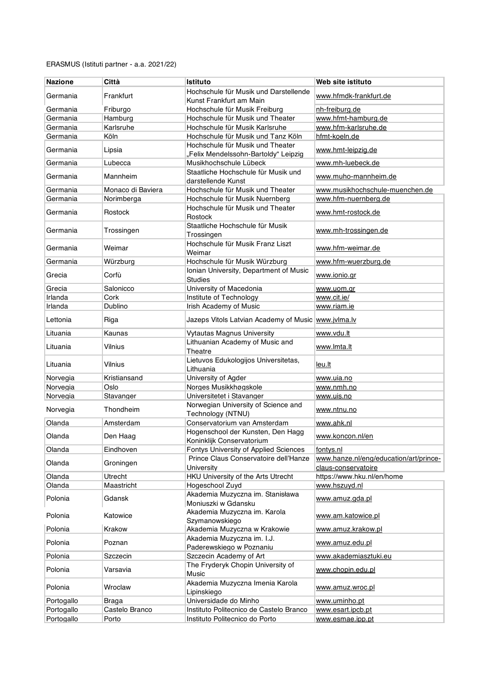| <b>Nazione</b> | Città             | <b>Istituto</b>                                                          | Web site istituto                                             |
|----------------|-------------------|--------------------------------------------------------------------------|---------------------------------------------------------------|
|                |                   | Hochschule für Musik und Darstellende                                    |                                                               |
| Germania       | Frankfurt         | Kunst Frankfurt am Main                                                  | www.hfmdk-frankfurt.de                                        |
| Germania       | Friburgo          | Hochschule für Musik Freiburg                                            | nh-freiburg.de                                                |
| Germania       | Hamburg           | Hochschule für Musik und Theater                                         | www.hfmt-hamburg.de                                           |
| Germania       | Karlsruhe         | Hochschule für Musik Karlsruhe                                           | www.hfm-karlsruhe.de                                          |
| Germania       | Köln              | Hochschule für Musik und Tanz Köln                                       | hfmt-koeln.de                                                 |
| Germania       | Lipsia            | Hochschule für Musik und Theater<br>"Felix Mendelssohn-Bartoldy" Leipzig | www.hmt-leipzig.de                                            |
| Germania       | Lubecca           | Musikhochschule Lübeck                                                   | www.mh-luebeck.de                                             |
| Germania       | Mannheim          | Staatliche Hochschule für Musik und<br>darstellende Kunst                | www.muho-mannheim.de                                          |
| Germania       | Monaco di Baviera | Hochschule für Musik und Theater                                         | www.musikhochschule-muenchen.de                               |
| Germania       | Norimberga        | Hochschule für Musik Nuernberg                                           | www.hfm-nuernberg.de                                          |
| Germania       | Rostock           | Hochschule für Musik und Theater<br>Rostock                              | www.hmt-rostock.de                                            |
| Germania       | Trossingen        | Staatliche Hochschule für Musik<br>Trossingen                            | www.mh-trossingen.de                                          |
| Germania       | Weimar            | Hochschule für Musik Franz Liszt<br>Weimar                               | www.hfm-weimar.de                                             |
| Germania       | Würzburg          | Hochschule für Musik Würzburg                                            | www.hfm-wuerzburg.de                                          |
|                |                   | Ionian University, Department of Music                                   |                                                               |
| Grecia         | Corfù             | <b>Studies</b>                                                           | www.ionio.gr                                                  |
| Grecia         | Salonicco         | University of Macedonia                                                  | www.uom.gr                                                    |
| Irlanda        | Cork              | Institute of Technology                                                  | www.cit.ie/                                                   |
| Irlanda        | Dublino           | Irish Academy of Music                                                   | www.riam.ie                                                   |
| Lettonia       | Riga              | Jazeps Vitols Latvian Academy of Music www.jvlma.lv                      |                                                               |
| Lituania       | Kaunas            | <b>Vytautas Magnus University</b>                                        | www.vdu.lt                                                    |
| Lituania       | Vilnius           | Lithuanian Academy of Music and<br>Theatre                               | www.lmta.lt                                                   |
| Lituania       | Vilnius           | Lietuvos Edukologijos Universitetas,<br>Lithuania                        | leu.lt                                                        |
| Norvegia       | Kristiansand      | University of Agder                                                      | www.uia.no                                                    |
| Norvegia       | Oslo              | Norges Musikkhøgskole                                                    | www.nmh.no                                                    |
| Norvegia       | Stavanger         | Universitetet i Stavanger                                                | www.uis.no                                                    |
| Norvegia       | Thondheim         | Norwegian University of Science and<br>Technology (NTNU)                 | www.ntnu.no                                                   |
| Olanda         | Amsterdam         | Conservatorium van Amsterdam                                             | www.ahk.nl                                                    |
| Olanda         | Den Haag          | Hogenschool der Kunsten, Den Hagg<br>Koninklijk Conservatorium           | www.koncon.nl/en                                              |
| Olanda         | Eindhoven         | Fontys University of Applied Sciences                                    | fontys.nl                                                     |
| Olanda         | Groningen         | Prince Claus Conservatoire dell'Hanze<br>University                      | www.hanze.nl/eng/education/art/prince-<br>claus-conservatoire |
| Olanda         | Utrecht           | HKU University of the Arts Utrecht                                       | https://www.hku.nl/en/home                                    |
| Olanda         | Maastricht        | Hogeschool Zuyd                                                          | www.hszuyd.nl                                                 |
| Polonia        | Gdansk            | Akademia Muzyczna im. Stanisława<br>Moniuszki w Gdansku                  | www.amuz.gda.pl                                               |
| Polonia        | Katowice          | Akademia Muzyczna im. Karola                                             | www.am.katowice.pl                                            |
| Polonia        | Krakow            | Szymanowskiego<br>Akademia Muzyczna w Krakowie                           | www.amuz.krakow.pl                                            |
| Polonia        | Poznan            | Akademia Muzyczna im. I.J.<br>Paderewskiego w Poznaniu                   | www.amuz.edu.pl                                               |
| Polonia        | Szczecin          | Szczecin Academy of Art                                                  | www.akademiasztuki.eu                                         |
| Polonia        | Varsavia          | The Fryderyk Chopin University of                                        | www.chopin.edu.pl                                             |
| Polonia        |                   | Music<br>Akademia Muzyczna Imenia Karola                                 |                                                               |
|                | Wroclaw           | Lipinskiego                                                              | www.amuz.wroc.pl                                              |
| Portogallo     | Braga             | Universidade do Minho                                                    | www.uminho.pt                                                 |
| Portogallo     | Castelo Branco    | Instituto Politecnico de Castelo Branco                                  | www.esart.ipcb.pt                                             |
| Portogallo     | Porto             | Instituto Politecnico do Porto                                           | www.esmae.ipp.pt                                              |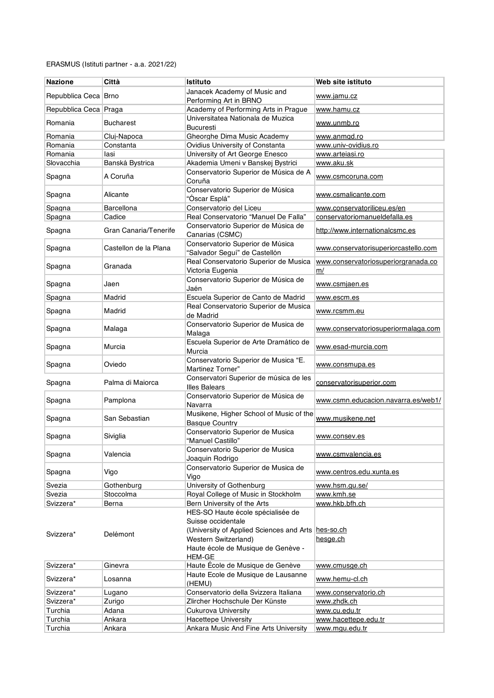| <b>Nazione</b>        | Città                 | <b>Istituto</b>                                                                                                                                                                              | Web site istituto                         |
|-----------------------|-----------------------|----------------------------------------------------------------------------------------------------------------------------------------------------------------------------------------------|-------------------------------------------|
|                       |                       | Janacek Academy of Music and                                                                                                                                                                 |                                           |
| Repubblica Ceca Brno  |                       | Performing Art in BRNO                                                                                                                                                                       | www.jamu.cz                               |
| Repubblica Ceca Praga |                       | Academy of Performing Arts in Prague                                                                                                                                                         | www.hamu.cz                               |
| Romania               | Bucharest             | Universitatea Nationala de Muzica<br>Bucuresti                                                                                                                                               | www.unmb.ro                               |
| Romania               | Cluj-Napoca           | Gheorghe Dima Music Academy                                                                                                                                                                  | www.anmgd.ro                              |
| Romania               | Constanta             | Ovidius University of Constanta                                                                                                                                                              | www.univ-ovidius.ro                       |
| Romania               | lasi                  | University of Art George Enesco                                                                                                                                                              | www.arteiasi.ro                           |
| Slovacchia            | Banská Bystrica       | Akademia Umeni v Banskej Bystrici                                                                                                                                                            | www.aku.sk                                |
| Spagna                | A Coruña              | Conservatorio Superior de Música de A<br>Coruña                                                                                                                                              | www.csmcoruna.com                         |
| Spagna                | Alicante              | Conservatorio Superior de Música<br>"Óscar Esplá"                                                                                                                                            | www.csmalicante.com                       |
| Spagna                | Barcellona            | Conservatorio del Liceu                                                                                                                                                                      | www.conservatoriliceu.es/en               |
| Spagna                | Cadice                | Real Conservatorio "Manuel De Falla"                                                                                                                                                         | conservatoriomanueldefalla.es             |
| Spagna                | Gran Canaria/Tenerife | Conservatorio Superior de Música de<br>Canarias (CSMC)                                                                                                                                       | http://www.internationalcsmc.es           |
| Spagna                | Castellon de la Plana | Conservatorio Superior de Música<br>"Salvador Seguí" de Castellón                                                                                                                            | www.conservatorisuperiorcastello.com      |
| Spagna                | Granada               | Real Conservatorio Superior de Musica<br>Victoria Eugenia                                                                                                                                    | www.conservatoriosuperiorgranada.co<br>m/ |
| Spagna                | Jaen                  | Conservatorio Superior de Música de<br>Jaén                                                                                                                                                  | www.csmjaen.es                            |
| Spagna                | Madrid                | Escuela Superior de Canto de Madrid                                                                                                                                                          | www.escm.es                               |
| Spagna                | Madrid                | Real Conservatorio Superior de Musica<br>de Madrid                                                                                                                                           | www.rcsmm.eu                              |
| Spagna                | Malaga                | Conservatorio Superior de Musica de<br>Malaga                                                                                                                                                | www.conservatoriosuperiormalaga.com       |
| Spagna                | Murcia                | Escuela Superior de Arte Dramático de<br>Murcia                                                                                                                                              | www.esad-murcia.com                       |
| Spagna                | Oviedo                | Conservatorio Superior de Musica "E.<br>Martinez Torner"                                                                                                                                     | www.consmupa.es                           |
| Spagna                | Palma di Maiorca      | Conservatori Superior de música de les<br><b>Illes Balears</b>                                                                                                                               | conservatorisuperior.com                  |
| Spagna                | Pamplona              | Conservatorio Superior de Música de<br>Navarra                                                                                                                                               | www.csmn.educacion.navarra.es/web1/       |
| Spagna                | San Sebastian         | Musikene, Higher School of Music of the<br><b>Basque Country</b>                                                                                                                             | www.musikene.net                          |
| Spagna                | Siviglia              | Conservatorio Superior de Musica<br>"Manuel Castillo"                                                                                                                                        | www.consev.es                             |
| Spagna                | Valencia              | Conservatorio Superior de Musica<br>Joaquin Rodrigo                                                                                                                                          | www.csmvalencia.es                        |
| Spagna                | Vigo                  | Conservatorio Superior de Musica de<br>Vigo                                                                                                                                                  | www.centros.edu.xunta.es                  |
| Svezia                | Gothenburg            | University of Gothenburg                                                                                                                                                                     | www.hsm.gu.se/                            |
| Svezia                | Stoccolma             | Royal College of Music in Stockholm                                                                                                                                                          | www.kmh.se                                |
| Svizzera*             | Berna                 | Bern University of the Arts                                                                                                                                                                  | www.hkb.bfh.ch                            |
| Svizzera*             | Delémont              | HES-SO Haute école spécialisée de<br>Suisse occidentale<br>(University of Applied Sciences and Arts hes-so.ch<br>Western Switzerland)<br>Haute école de Musique de Genève -<br><b>HEM-GE</b> | hesge.ch                                  |
| Svizzera*             | Ginevra               | Haute École de Musique de Genève                                                                                                                                                             | www.cmusqe.ch                             |
| Svizzera*             | Losanna               | Haute Ecole de Musique de Lausanne<br>(HEMU)                                                                                                                                                 | www.hemu-cl.ch                            |
| Svizzera*             | Lugano                | Conservatorio della Svizzera Italiana                                                                                                                                                        | www.conservatorio.ch                      |
| Svizzera*             | Zurigo                | Zlircher Hochschule Der Künste                                                                                                                                                               | www.zhdk.ch                               |
| Turchia               | Adana                 | Cukurova University                                                                                                                                                                          | www.cu.edu.tr                             |
| Turchia               | Ankara                | Hacettepe University                                                                                                                                                                         | www.hacettepe.edu.tr                      |
| Turchia               | Ankara                | Ankara Music And Fine Arts University                                                                                                                                                        | www.mqu.edu.tr                            |